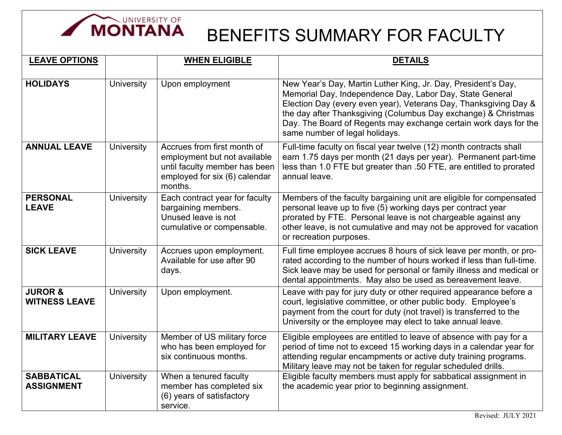

## BENEFITS SUMMARY FOR FACULTY

| <b>LEAVE OPTIONS</b>                       |                   | <b>WHEN ELIGIBLE</b>                                                                                                                     | <b>DETAILS</b>                                                                                                                                                                                                                                                                                                                                                        |
|--------------------------------------------|-------------------|------------------------------------------------------------------------------------------------------------------------------------------|-----------------------------------------------------------------------------------------------------------------------------------------------------------------------------------------------------------------------------------------------------------------------------------------------------------------------------------------------------------------------|
| <b>HOLIDAYS</b>                            | University        | Upon employment                                                                                                                          | New Year's Day, Martin Luther King, Jr. Day, President's Day,<br>Memorial Day, Independence Day, Labor Day, State General<br>Election Day (every even year), Veterans Day, Thanksgiving Day &<br>the day after Thanksgiving (Columbus Day exchange) & Christmas<br>Day. The Board of Regents may exchange certain work days for the<br>same number of legal holidays. |
| <b>ANNUAL LEAVE</b>                        | <b>University</b> | Accrues from first month of<br>employment but not available<br>until faculty member has been<br>employed for six (6) calendar<br>months. | Full-time faculty on fiscal year twelve (12) month contracts shall<br>earn 1.75 days per month (21 days per year). Permanent part-time<br>less than 1.0 FTE but greater than .50 FTE, are entitled to prorated<br>annual leave.                                                                                                                                       |
| <b>PERSONAL</b><br><b>LEAVE</b>            | University        | Each contract year for faculty<br>bargaining members.<br>Unused leave is not<br>cumulative or compensable.                               | Members of the faculty bargaining unit are eligible for compensated<br>personal leave up to five (5) working days per contract year<br>prorated by FTE. Personal leave is not chargeable against any<br>other leave, is not cumulative and may not be approved for vacation<br>or recreation purposes.                                                                |
| <b>SICK LEAVE</b>                          | <b>University</b> | Accrues upon employment.<br>Available for use after 90<br>days.                                                                          | Full time employee accrues 8 hours of sick leave per month, or pro-<br>rated according to the number of hours worked if less than full-time.<br>Sick leave may be used for personal or family illness and medical or<br>dental appointments. May also be used as bereavement leave.                                                                                   |
| <b>JUROR &amp;</b><br><b>WITNESS LEAVE</b> | University        | Upon employment.                                                                                                                         | Leave with pay for jury duty or other required appearance before a<br>court, legislative committee, or other public body. Employee's<br>payment from the court for duty (not travel) is transferred to the<br>University or the employee may elect to take annual leave.                                                                                              |
| <b>MILITARY LEAVE</b>                      | <b>University</b> | Member of US military force<br>who has been employed for<br>six continuous months.                                                       | Eligible employees are entitled to leave of absence with pay for a<br>period of time not to exceed 15 working days in a calendar year for<br>attending regular encampments or active duty training programs.<br>Military leave may not be taken for regular scheduled drills.                                                                                         |
| <b>SABBATICAL</b><br><b>ASSIGNMENT</b>     | <b>University</b> | When a tenured faculty<br>member has completed six<br>(6) years of satisfactory<br>service.                                              | Eligible faculty members must apply for sabbatical assignment in<br>the academic year prior to beginning assignment.                                                                                                                                                                                                                                                  |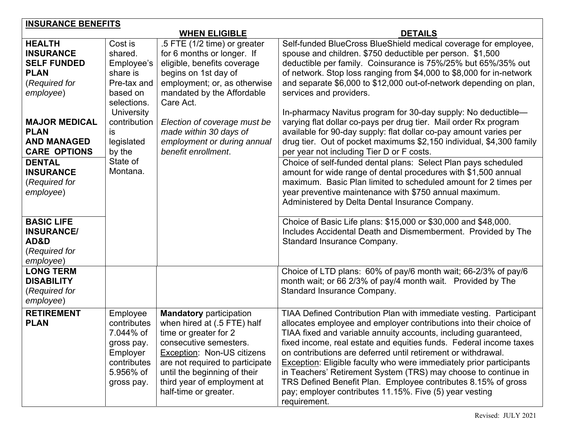| <b>INSURANCE BENEFITS</b>                                                                                                                                         |                                                                                                                                                 |                                                                                                                                                                                                                                                                                       |                                                                                                                                                                                                                                                                                                                                                                                                                                                                                                                                                                                                                                                          |
|-------------------------------------------------------------------------------------------------------------------------------------------------------------------|-------------------------------------------------------------------------------------------------------------------------------------------------|---------------------------------------------------------------------------------------------------------------------------------------------------------------------------------------------------------------------------------------------------------------------------------------|----------------------------------------------------------------------------------------------------------------------------------------------------------------------------------------------------------------------------------------------------------------------------------------------------------------------------------------------------------------------------------------------------------------------------------------------------------------------------------------------------------------------------------------------------------------------------------------------------------------------------------------------------------|
|                                                                                                                                                                   |                                                                                                                                                 | <b>WHEN ELIGIBLE</b>                                                                                                                                                                                                                                                                  | <b>DETAILS</b>                                                                                                                                                                                                                                                                                                                                                                                                                                                                                                                                                                                                                                           |
| <b>HEALTH</b><br><b>INSURANCE</b><br><b>SELF FUNDED</b><br><b>PLAN</b><br>(Required for<br>employee)<br><b>MAJOR MEDICAL</b><br><b>PLAN</b><br><b>AND MANAGED</b> | Cost is<br>shared.<br>Employee's<br>share is<br>Pre-tax and<br>based on<br>selections.<br><b>University</b><br>contribution<br>is<br>legislated | .5 FTE (1/2 time) or greater<br>for 6 months or longer. If<br>eligible, benefits coverage<br>begins on 1st day of<br>employment; or, as otherwise<br>mandated by the Affordable<br>Care Act.<br>Election of coverage must be<br>made within 30 days of<br>employment or during annual | Self-funded BlueCross BlueShield medical coverage for employee,<br>spouse and children. \$750 deductible per person. \$1,500<br>deductible per family. Coinsurance is 75%/25% but 65%/35% out<br>of network. Stop loss ranging from \$4,000 to \$8,000 for in-network<br>and separate \$6,000 to \$12,000 out-of-network depending on plan,<br>services and providers.<br>In-pharmacy Navitus program for 30-day supply: No deductible-<br>varying flat dollar co-pays per drug tier. Mail order Rx program<br>available for 90-day supply: flat dollar co-pay amount varies per<br>drug tier. Out of pocket maximums \$2,150 individual, \$4,300 family |
| <b>CARE OPTIONS</b><br><b>DENTAL</b><br><b>INSURANCE</b><br>(Required for<br>employee)                                                                            | by the<br>State of<br>Montana.                                                                                                                  | benefit enrollment.                                                                                                                                                                                                                                                                   | per year not including Tier D or F costs.<br>Choice of self-funded dental plans: Select Plan pays scheduled<br>amount for wide range of dental procedures with \$1,500 annual<br>maximum. Basic Plan limited to scheduled amount for 2 times per<br>year preventive maintenance with \$750 annual maximum.<br>Administered by Delta Dental Insurance Company.                                                                                                                                                                                                                                                                                            |
| <b>BASIC LIFE</b><br><b>INSURANCE/</b><br>AD&D<br>(Required for<br>employee)                                                                                      |                                                                                                                                                 |                                                                                                                                                                                                                                                                                       | Choice of Basic Life plans: \$15,000 or \$30,000 and \$48,000.<br>Includes Accidental Death and Dismemberment. Provided by The<br>Standard Insurance Company.                                                                                                                                                                                                                                                                                                                                                                                                                                                                                            |
| <b>LONG TERM</b><br><b>DISABILITY</b><br>(Required for<br>employee)                                                                                               |                                                                                                                                                 |                                                                                                                                                                                                                                                                                       | Choice of LTD plans: 60% of pay/6 month wait; 66-2/3% of pay/6<br>month wait; or 66 2/3% of pay/4 month wait. Provided by The<br>Standard Insurance Company.                                                                                                                                                                                                                                                                                                                                                                                                                                                                                             |
| <b>RETIREMENT</b><br><b>PLAN</b>                                                                                                                                  | Employee<br>contributes<br>7.044% of<br>gross pay.<br>Employer<br>contributes<br>5.956% of<br>gross pay.                                        | <b>Mandatory participation</b><br>when hired at (.5 FTE) half<br>time or greater for 2<br>consecutive semesters.<br>Exception: Non-US citizens<br>are not required to participate<br>until the beginning of their<br>third year of employment at<br>half-time or greater.             | TIAA Defined Contribution Plan with immediate vesting. Participant<br>allocates employee and employer contributions into their choice of<br>TIAA fixed and variable annuity accounts, including guaranteed,<br>fixed income, real estate and equities funds. Federal income taxes<br>on contributions are deferred until retirement or withdrawal.<br><b>Exception: Eligible faculty who were immediately prior participants</b><br>in Teachers' Retirement System (TRS) may choose to continue in<br>TRS Defined Benefit Plan. Employee contributes 8.15% of gross<br>pay; employer contributes 11.15%. Five (5) year vesting<br>requirement.           |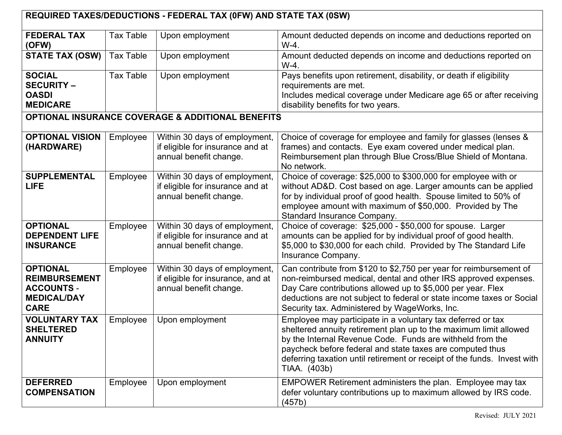| REQUIRED TAXES/DEDUCTIONS - FEDERAL TAX (0FW) AND STATE TAX (0SW)                                 |                  |                                                                                              |                                                                                                                                                                                                                                                                                                                                                        |  |
|---------------------------------------------------------------------------------------------------|------------------|----------------------------------------------------------------------------------------------|--------------------------------------------------------------------------------------------------------------------------------------------------------------------------------------------------------------------------------------------------------------------------------------------------------------------------------------------------------|--|
| <b>FEDERAL TAX</b><br>(OFW)                                                                       | <b>Tax Table</b> | Upon employment                                                                              | Amount deducted depends on income and deductions reported on<br>W-4.                                                                                                                                                                                                                                                                                   |  |
| <b>STATE TAX (OSW)</b>                                                                            | <b>Tax Table</b> | Upon employment                                                                              | Amount deducted depends on income and deductions reported on<br>$W-4.$                                                                                                                                                                                                                                                                                 |  |
| <b>SOCIAL</b><br><b>SECURITY -</b><br><b>OASDI</b><br><b>MEDICARE</b>                             | <b>Tax Table</b> | Upon employment                                                                              | Pays benefits upon retirement, disability, or death if eligibility<br>requirements are met.<br>Includes medical coverage under Medicare age 65 or after receiving<br>disability benefits for two years.                                                                                                                                                |  |
|                                                                                                   |                  | <b>OPTIONAL INSURANCE COVERAGE &amp; ADDITIONAL BENEFITS</b>                                 |                                                                                                                                                                                                                                                                                                                                                        |  |
| <b>OPTIONAL VISION</b><br>(HARDWARE)                                                              | Employee         | Within 30 days of employment,<br>if eligible for insurance and at<br>annual benefit change.  | Choice of coverage for employee and family for glasses (lenses &<br>frames) and contacts. Eye exam covered under medical plan.<br>Reimbursement plan through Blue Cross/Blue Shield of Montana.<br>No network.                                                                                                                                         |  |
| <b>SUPPLEMENTAL</b><br><b>LIFE</b>                                                                | Employee         | Within 30 days of employment,<br>if eligible for insurance and at<br>annual benefit change.  | Choice of coverage: \$25,000 to \$300,000 for employee with or<br>without AD&D. Cost based on age. Larger amounts can be applied<br>for by individual proof of good health. Spouse limited to 50% of<br>employee amount with maximum of \$50,000. Provided by The<br><b>Standard Insurance Company.</b>                                                |  |
| <b>OPTIONAL</b><br><b>DEPENDENT LIFE</b><br><b>INSURANCE</b>                                      | Employee         | Within 30 days of employment,<br>if eligible for insurance and at<br>annual benefit change.  | Choice of coverage: \$25,000 - \$50,000 for spouse. Larger<br>amounts can be applied for by individual proof of good health.<br>\$5,000 to \$30,000 for each child. Provided by The Standard Life<br>Insurance Company.                                                                                                                                |  |
| <b>OPTIONAL</b><br><b>REIMBURSEMENT</b><br><b>ACCOUNTS -</b><br><b>MEDICAL/DAY</b><br><b>CARE</b> | Employee         | Within 30 days of employment,<br>if eligible for insurance, and at<br>annual benefit change. | Can contribute from \$120 to \$2,750 per year for reimbursement of<br>non-reimbursed medical, dental and other IRS approved expenses.<br>Day Care contributions allowed up to \$5,000 per year. Flex<br>deductions are not subject to federal or state income taxes or Social<br>Security tax. Administered by WageWorks, Inc.                         |  |
| <b>VOLUNTARY TAX</b><br><b>SHELTERED</b><br><b>ANNUITY</b>                                        | Employee         | Upon employment                                                                              | Employee may participate in a voluntary tax deferred or tax<br>sheltered annuity retirement plan up to the maximum limit allowed<br>by the Internal Revenue Code. Funds are withheld from the<br>paycheck before federal and state taxes are computed thus<br>deferring taxation until retirement or receipt of the funds. Invest with<br>TIAA. (403b) |  |
| <b>DEFERRED</b><br><b>COMPENSATION</b>                                                            | Employee         | Upon employment                                                                              | EMPOWER Retirement administers the plan. Employee may tax<br>defer voluntary contributions up to maximum allowed by IRS code.<br>(457b)                                                                                                                                                                                                                |  |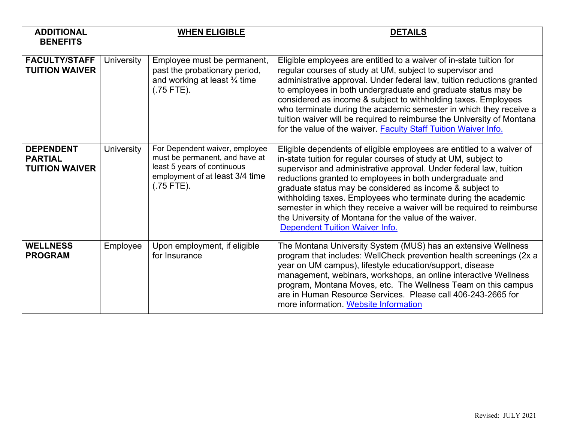| <b>ADDITIONAL</b><br><b>BENEFITS</b>                        |                   | <b>WHEN ELIGIBLE</b>                                                                                                                               | <b>DETAILS</b>                                                                                                                                                                                                                                                                                                                                                                                                                                                                                                                                                                        |
|-------------------------------------------------------------|-------------------|----------------------------------------------------------------------------------------------------------------------------------------------------|---------------------------------------------------------------------------------------------------------------------------------------------------------------------------------------------------------------------------------------------------------------------------------------------------------------------------------------------------------------------------------------------------------------------------------------------------------------------------------------------------------------------------------------------------------------------------------------|
| <b>FACULTY/STAFF</b><br><b>TUITION WAIVER</b>               | <b>University</b> | Employee must be permanent,<br>past the probationary period,<br>and working at least $\frac{3}{4}$ time<br>$(.75$ FTE).                            | Eligible employees are entitled to a waiver of in-state tuition for<br>regular courses of study at UM, subject to supervisor and<br>administrative approval. Under federal law, tuition reductions granted<br>to employees in both undergraduate and graduate status may be<br>considered as income & subject to withholding taxes. Employees<br>who terminate during the academic semester in which they receive a<br>tuition waiver will be required to reimburse the University of Montana<br>for the value of the waiver. Faculty Staff Tuition Waiver Info.                      |
| <b>DEPENDENT</b><br><b>PARTIAL</b><br><b>TUITION WAIVER</b> | <b>University</b> | For Dependent waiver, employee<br>must be permanent, and have at<br>least 5 years of continuous<br>employment of at least 3/4 time<br>$(.75$ FTE). | Eligible dependents of eligible employees are entitled to a waiver of<br>in-state tuition for regular courses of study at UM, subject to<br>supervisor and administrative approval. Under federal law, tuition<br>reductions granted to employees in both undergraduate and<br>graduate status may be considered as income & subject to<br>withholding taxes. Employees who terminate during the academic<br>semester in which they receive a waiver will be required to reimburse<br>the University of Montana for the value of the waiver.<br><b>Dependent Tuition Waiver Info.</b> |
| <b>WELLNESS</b><br><b>PROGRAM</b>                           | Employee          | Upon employment, if eligible<br>for Insurance                                                                                                      | The Montana University System (MUS) has an extensive Wellness<br>program that includes: WellCheck prevention health screenings (2x a<br>year on UM campus), lifestyle education/support, disease<br>management, webinars, workshops, an online interactive Wellness<br>program, Montana Moves, etc. The Wellness Team on this campus<br>are in Human Resource Services. Please call 406-243-2665 for<br>more information. Website Information                                                                                                                                         |